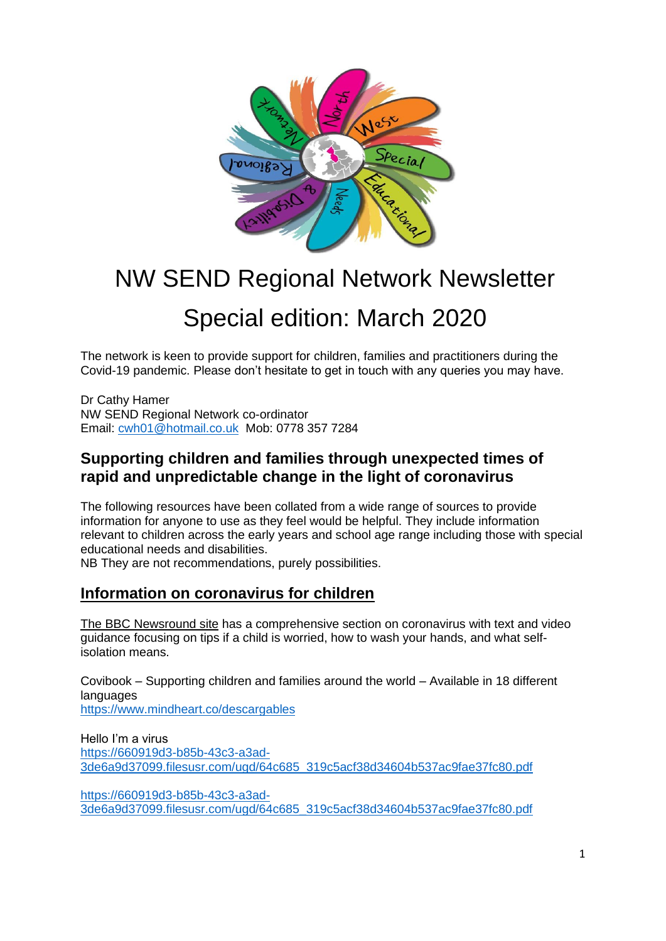

# NW SEND Regional Network Newsletter Special edition: March 2020

The network is keen to provide support for children, families and practitioners during the Covid-19 pandemic. Please don't hesitate to get in touch with any queries you may have.

Dr Cathy Hamer NW SEND Regional Network co-ordinator Email: [cwh01@hotmail.co.uk](mailto:cwh01@hotmail.co.uk) Mob: 0778 357 7284

## **Supporting children and families through unexpected times of rapid and unpredictable change in the light of coronavirus**

The following resources have been collated from a wide range of sources to provide information for anyone to use as they feel would be helpful. They include information relevant to children across the early years and school age range including those with special educational needs and disabilities.

NB They are not recommendations, purely possibilities.

## **Information on coronavirus for children**

The BBC [Newsround](https://www.bbc.co.uk/newsround/51204456) site has a comprehensive section on coronavirus with text and video guidance focusing on tips if a child is worried, how to wash your hands, and what selfisolation means.

Covibook – Supporting children and families around the world – Available in 18 different languages <https://www.mindheart.co/descargables>

Hello I'm a virus [https://660919d3-b85b-43c3-a3ad-](https://660919d3-b85b-43c3-a3ad-3de6a9d37099.filesusr.com/ugd/64c685_319c5acf38d34604b537ac9fae37fc80.pdf)[3de6a9d37099.filesusr.com/ugd/64c685\\_319c5acf38d34604b537ac9fae37fc80.pdf](https://660919d3-b85b-43c3-a3ad-3de6a9d37099.filesusr.com/ugd/64c685_319c5acf38d34604b537ac9fae37fc80.pdf)

[https://660919d3-b85b-43c3-a3ad-](https://660919d3-b85b-43c3-a3ad-3de6a9d37099.filesusr.com/ugd/64c685_319c5acf38d34604b537ac9fae37fc80.pdf)[3de6a9d37099.filesusr.com/ugd/64c685\\_319c5acf38d34604b537ac9fae37fc80.pdf](https://660919d3-b85b-43c3-a3ad-3de6a9d37099.filesusr.com/ugd/64c685_319c5acf38d34604b537ac9fae37fc80.pdf)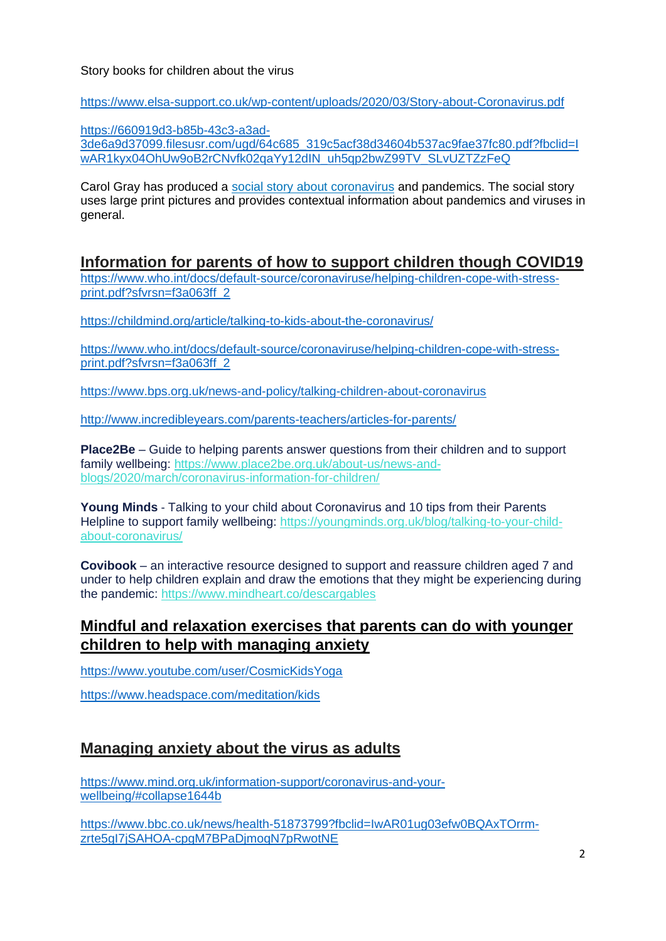#### Story books for children about the virus

[https://www.elsa-support.co.uk/wp-content/uploads/2020/03/Story-about-Coronavirus.pdf](https://eur04.safelinks.protection.outlook.com/?url=https%3A%2F%2Fwww.elsa-support.co.uk%2Fwp-content%2Fuploads%2F2020%2F03%2FStory-about-Coronavirus.pdf&data=02%7C01%7C%7C31a8f16397734c06aafd08d7cb78e2bb%7C84df9e7fe9f640afb435aaaaaaaaaaaa%7C1%7C0%7C637201592360780961&sdata=zi0qakuynIPp3tdmB9pDHvKCq%2FCG5fYzpkKwWG24sOk%3D&reserved=0)

[https://660919d3-b85b-43c3-a3ad-](https://eur04.safelinks.protection.outlook.com/?url=https%3A%2F%2F660919d3-b85b-43c3-a3ad-3de6a9d37099.filesusr.com%2Fugd%2F64c685_319c5acf38d34604b537ac9fae37fc80.pdf%3Ffbclid%3DIwAR1kyx04OhUw9oB2rCNvfk02qaYy12dIN_uh5qp2bwZ99TV_SLvUZTZzFeQ&data=02%7C01%7C%7C31a8f16397734c06aafd08d7cb78e2bb%7C84df9e7fe9f640afb435aaaaaaaaaaaa%7C1%7C0%7C637201592360790970&sdata=1sdG3w02uSRbZ7AHlVJYtpGJldcFyFY19qDVA%2FYZrp8%3D&reserved=0)[3de6a9d37099.filesusr.com/ugd/64c685\\_319c5acf38d34604b537ac9fae37fc80.pdf?fbclid=I](https://eur04.safelinks.protection.outlook.com/?url=https%3A%2F%2F660919d3-b85b-43c3-a3ad-3de6a9d37099.filesusr.com%2Fugd%2F64c685_319c5acf38d34604b537ac9fae37fc80.pdf%3Ffbclid%3DIwAR1kyx04OhUw9oB2rCNvfk02qaYy12dIN_uh5qp2bwZ99TV_SLvUZTZzFeQ&data=02%7C01%7C%7C31a8f16397734c06aafd08d7cb78e2bb%7C84df9e7fe9f640afb435aaaaaaaaaaaa%7C1%7C0%7C637201592360790970&sdata=1sdG3w02uSRbZ7AHlVJYtpGJldcFyFY19qDVA%2FYZrp8%3D&reserved=0) [wAR1kyx04OhUw9oB2rCNvfk02qaYy12dIN\\_uh5qp2bwZ99TV\\_SLvUZTZzFeQ](https://eur04.safelinks.protection.outlook.com/?url=https%3A%2F%2F660919d3-b85b-43c3-a3ad-3de6a9d37099.filesusr.com%2Fugd%2F64c685_319c5acf38d34604b537ac9fae37fc80.pdf%3Ffbclid%3DIwAR1kyx04OhUw9oB2rCNvfk02qaYy12dIN_uh5qp2bwZ99TV_SLvUZTZzFeQ&data=02%7C01%7C%7C31a8f16397734c06aafd08d7cb78e2bb%7C84df9e7fe9f640afb435aaaaaaaaaaaa%7C1%7C0%7C637201592360790970&sdata=1sdG3w02uSRbZ7AHlVJYtpGJldcFyFY19qDVA%2FYZrp8%3D&reserved=0)

Carol Gray has produced a social story about [coronavirus](https://carolgraysocialstories.com/wp-content/uploads/2020/03/Pandemics-and-the-Coronavirus.pdf) and pandemics. The social story uses large print pictures and provides contextual information about pandemics and viruses in general.

**Information for parents of how to support children though COVID19**

[https://www.who.int/docs/default-source/coronaviruse/helping-children-cope-with-stress](https://www.who.int/docs/default-source/coronaviruse/helping-children-cope-with-stress-print.pdf?sfvrsn=f3a063ff_2)[print.pdf?sfvrsn=f3a063ff\\_2](https://www.who.int/docs/default-source/coronaviruse/helping-children-cope-with-stress-print.pdf?sfvrsn=f3a063ff_2)

[https://childmind.org/article/talking-to-kids-about-the-coronavirus/](https://eur04.safelinks.protection.outlook.com/?url=https%3A%2F%2Fchildmind.org%2Farticle%2Ftalking-to-kids-about-the-coronavirus%2F&data=02%7C01%7C%7C31a8f16397734c06aafd08d7cb78e2bb%7C84df9e7fe9f640afb435aaaaaaaaaaaa%7C1%7C0%7C637201592360760945&sdata=qgDrzQKXxU%2FP6s9WkKFAvgx7zyrwishsRBHGgCqQqBs%3D&reserved=0)

[https://www.who.int/docs/default-source/coronaviruse/helping-children-cope-with-stress](https://eur04.safelinks.protection.outlook.com/?url=https%3A%2F%2Fwww.who.int%2Fdocs%2Fdefault-source%2Fcoronaviruse%2Fhelping-children-cope-with-stress-print.pdf%3Fsfvrsn%3Df3a063ff_2&data=02%7C01%7C%7C31a8f16397734c06aafd08d7cb78e2bb%7C84df9e7fe9f640afb435aaaaaaaaaaaa%7C1%7C0%7C637201592360770953&sdata=RmxG4homrVk6RPbd1vZSfxMpucZZGCOYhRVAmmG4ud0%3D&reserved=0)[print.pdf?sfvrsn=f3a063ff\\_2](https://eur04.safelinks.protection.outlook.com/?url=https%3A%2F%2Fwww.who.int%2Fdocs%2Fdefault-source%2Fcoronaviruse%2Fhelping-children-cope-with-stress-print.pdf%3Fsfvrsn%3Df3a063ff_2&data=02%7C01%7C%7C31a8f16397734c06aafd08d7cb78e2bb%7C84df9e7fe9f640afb435aaaaaaaaaaaa%7C1%7C0%7C637201592360770953&sdata=RmxG4homrVk6RPbd1vZSfxMpucZZGCOYhRVAmmG4ud0%3D&reserved=0)

[https://www.bps.org.uk/news-and-policy/talking-children-about-coronavirus](https://eur04.safelinks.protection.outlook.com/?url=https%3A%2F%2Fwww.bps.org.uk%2Fnews-and-policy%2Ftalking-children-about-coronavirus&data=02%7C01%7C%7C31a8f16397734c06aafd08d7cb78e2bb%7C84df9e7fe9f640afb435aaaaaaaaaaaa%7C1%7C0%7C637201592360770953&sdata=gF1L%2Bc%2BANCVaTu0amz6qbWbBOMWKRJuHiKMLHVjRlKs%3D&reserved=0)

[http://www.incredibleyears.com/parents-teachers/articles-for-parents/](https://eur04.safelinks.protection.outlook.com/?url=http%3A%2F%2Fwww.incredibleyears.com%2Fparents-teachers%2Farticles-for-parents%2F&data=02%7C01%7C%7C31a8f16397734c06aafd08d7cb78e2bb%7C84df9e7fe9f640afb435aaaaaaaaaaaa%7C1%7C0%7C637201592360780961&sdata=EezjPg4WDYmc6SG68QyP%2FWY%2FJc6P4YJHuRO%2Fwn2iMO4%3D&reserved=0)

**Place2Be** – Guide to helping parents answer questions from their children and to support family wellbeing: [https://www.place2be.org.uk/about-us/news-and](https://eur04.safelinks.protection.outlook.com/?url=http%3A%2F%2Fcdc.mobilize.io%2Flinks%3Flid%3DEYERsmtbJI-rRmEtuCZ4Gg%26token%3DGOgzl4GTajj8wwruYL8q5Q%26url%3Dhttps%253A%252F%252Fwww.place2be.org.uk%252Fabout-us%252Fnews-and-blogs%252F2020%252Fmarch%252Fcoronavirus-information-for-children%252F&data=02%7C01%7C%7Cf874b4a155224fdeceaa08d7cb5b3346%7C84df9e7fe9f640afb435aaaaaaaaaaaa%7C1%7C0%7C637201464872294930&sdata=tZ%2BPTARuFt6iqEezJsvtAHg1A9Dx0c4K51X3ZKSXBgA%3D&reserved=0)[blogs/2020/march/coronavirus-information-for-children/](https://eur04.safelinks.protection.outlook.com/?url=http%3A%2F%2Fcdc.mobilize.io%2Flinks%3Flid%3DEYERsmtbJI-rRmEtuCZ4Gg%26token%3DGOgzl4GTajj8wwruYL8q5Q%26url%3Dhttps%253A%252F%252Fwww.place2be.org.uk%252Fabout-us%252Fnews-and-blogs%252F2020%252Fmarch%252Fcoronavirus-information-for-children%252F&data=02%7C01%7C%7Cf874b4a155224fdeceaa08d7cb5b3346%7C84df9e7fe9f640afb435aaaaaaaaaaaa%7C1%7C0%7C637201464872294930&sdata=tZ%2BPTARuFt6iqEezJsvtAHg1A9Dx0c4K51X3ZKSXBgA%3D&reserved=0)

**Young Minds** - Talking to your child about Coronavirus and 10 tips from their Parents Helpline to support family wellbeing: [https://youngminds.org.uk/blog/talking-to-your-child](https://eur04.safelinks.protection.outlook.com/?url=http%3A%2F%2Fcdc.mobilize.io%2Flinks%3Flid%3DEYERsmtbJI-rRmEtuCZ4Gg%26token%3DGOgzl4GTajj8wwruYL8q5Q%26url%3Dhttps%253A%252F%252Fyoungminds.org.uk%252Fblog%252Ftalking-to-your-child-about-coronavirus%252F&data=02%7C01%7C%7Cf874b4a155224fdeceaa08d7cb5b3346%7C84df9e7fe9f640afb435aaaaaaaaaaaa%7C1%7C0%7C637201464872304934&sdata=wmmJ%2FUvPtHSlxBgHKsSYIXTsqRi3YKFsSnliO484rak%3D&reserved=0)[about-coronavirus/](https://eur04.safelinks.protection.outlook.com/?url=http%3A%2F%2Fcdc.mobilize.io%2Flinks%3Flid%3DEYERsmtbJI-rRmEtuCZ4Gg%26token%3DGOgzl4GTajj8wwruYL8q5Q%26url%3Dhttps%253A%252F%252Fyoungminds.org.uk%252Fblog%252Ftalking-to-your-child-about-coronavirus%252F&data=02%7C01%7C%7Cf874b4a155224fdeceaa08d7cb5b3346%7C84df9e7fe9f640afb435aaaaaaaaaaaa%7C1%7C0%7C637201464872304934&sdata=wmmJ%2FUvPtHSlxBgHKsSYIXTsqRi3YKFsSnliO484rak%3D&reserved=0)

**Covibook** – an interactive resource designed to support and reassure children aged 7 and under to help children explain and draw the emotions that they might be experiencing during the pandemic: [https://www.mindheart.co/descargables](https://eur04.safelinks.protection.outlook.com/?url=http%3A%2F%2Fcdc.mobilize.io%2Flinks%3Flid%3DEYERsmtbJI-rRmEtuCZ4Gg%26token%3DGOgzl4GTajj8wwruYL8q5Q%26url%3Dhttps%253A%252F%252Fwww.mindheart.co%252Fdescargables&data=02%7C01%7C%7Cf874b4a155224fdeceaa08d7cb5b3346%7C84df9e7fe9f640afb435aaaaaaaaaaaa%7C1%7C0%7C637201464872314947&sdata=0%2FKjy%2Br88L%2BzwEYC2xCbDWrsGod2iPuZGRoswQixVdo%3D&reserved=0)

# **Mindful and relaxation exercises that parents can do with younger children to help with managing anxiety**

<https://www.youtube.com/user/CosmicKidsYoga>

<https://www.headspace.com/meditation/kids>

# **Managing anxiety about the virus as adults**

[https://www.mind.org.uk/information-support/coronavirus-and-your](https://eur04.safelinks.protection.outlook.com/?url=https%3A%2F%2Fwww.mind.org.uk%2Finformation-support%2Fcoronavirus-and-your-wellbeing%2F%23collapse1644b&data=02%7C01%7C%7C31a8f16397734c06aafd08d7cb78e2bb%7C84df9e7fe9f640afb435aaaaaaaaaaaa%7C1%7C0%7C637201592360800978&sdata=KXrK2hUsq50aSB54ZSvr1UigHWt%2BscA5GHu1Kv89Y9w%3D&reserved=0)[wellbeing/#collapse1644b](https://eur04.safelinks.protection.outlook.com/?url=https%3A%2F%2Fwww.mind.org.uk%2Finformation-support%2Fcoronavirus-and-your-wellbeing%2F%23collapse1644b&data=02%7C01%7C%7C31a8f16397734c06aafd08d7cb78e2bb%7C84df9e7fe9f640afb435aaaaaaaaaaaa%7C1%7C0%7C637201592360800978&sdata=KXrK2hUsq50aSB54ZSvr1UigHWt%2BscA5GHu1Kv89Y9w%3D&reserved=0)

[https://www.bbc.co.uk/news/health-51873799?fbclid=IwAR01ug03efw0BQAxTOrrm](https://eur04.safelinks.protection.outlook.com/?url=https%3A%2F%2Fwww.bbc.co.uk%2Fnews%2Fhealth-51873799%3Ffbclid%3DIwAR01ug03efw0BQAxTOrrm-zrte5gI7jSAHOA-cpgM7BPaDjmoqN7pRwotNE&data=02%7C01%7C%7C31a8f16397734c06aafd08d7cb78e2bb%7C84df9e7fe9f640afb435aaaaaaaaaaaa%7C1%7C0%7C637201592360810987&sdata=MlIyZH8TDOJoEl%2BPH1FrkV2ppXDKFtP8iha%2FDBrXCNI%3D&reserved=0)[zrte5gI7jSAHOA-cpgM7BPaDjmoqN7pRwotNE](https://eur04.safelinks.protection.outlook.com/?url=https%3A%2F%2Fwww.bbc.co.uk%2Fnews%2Fhealth-51873799%3Ffbclid%3DIwAR01ug03efw0BQAxTOrrm-zrte5gI7jSAHOA-cpgM7BPaDjmoqN7pRwotNE&data=02%7C01%7C%7C31a8f16397734c06aafd08d7cb78e2bb%7C84df9e7fe9f640afb435aaaaaaaaaaaa%7C1%7C0%7C637201592360810987&sdata=MlIyZH8TDOJoEl%2BPH1FrkV2ppXDKFtP8iha%2FDBrXCNI%3D&reserved=0)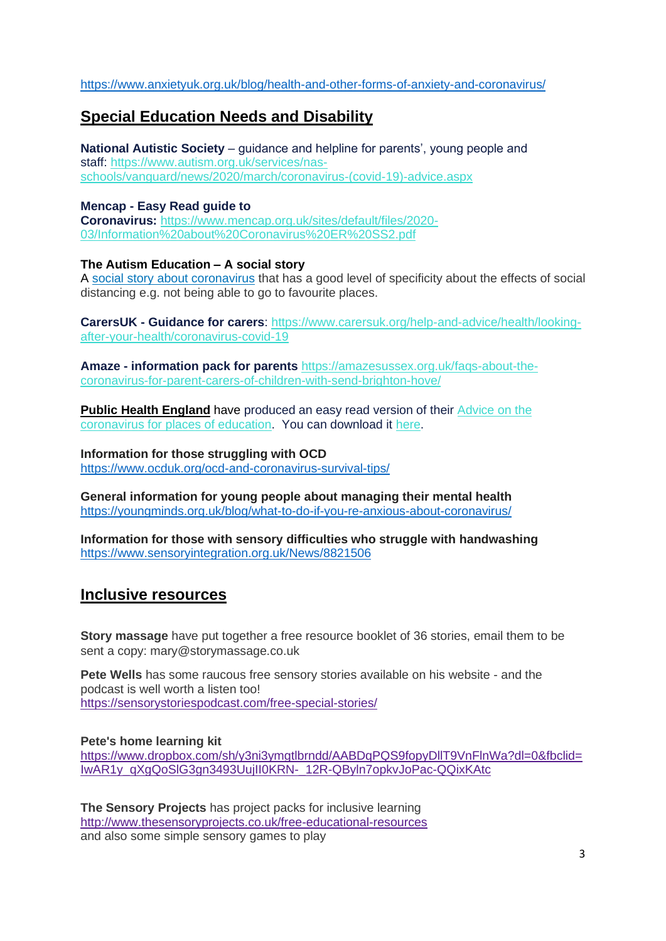[https://www.anxietyuk.org.uk/blog/health-and-other-forms-of-anxiety-and-coronavirus/](https://eur04.safelinks.protection.outlook.com/?url=https%3A%2F%2Fwww.anxietyuk.org.uk%2Fblog%2Fhealth-and-other-forms-of-anxiety-and-coronavirus%2F&data=02%7C01%7C%7C31a8f16397734c06aafd08d7cb78e2bb%7C84df9e7fe9f640afb435aaaaaaaaaaaa%7C1%7C0%7C637201592360810987&sdata=pmMOu0JLjJh9YqMy8XPbJiEUDXp3mA9%2FjvmMWC1zw4c%3D&reserved=0)

# **Special Education Needs and Disability**

**National Autistic Society** – guidance and helpline for parents', young people and staff: [https://www.autism.org.uk/services/nas](https://eur04.safelinks.protection.outlook.com/?url=http%3A%2F%2Fcdc.mobilize.io%2Flinks%3Flid%3DEYERsmtbJI-rRmEtuCZ4Gg%26token%3DGOgzl4GTajj8wwruYL8q5Q%26url%3Dhttps%253A%252F%252Fwww.autism.org.uk%252Fservices%252Fnas-schools%252Fvanguard%252Fnews%252F2020%252Fmarch%252Fcoronavirus-%2528covid-19%2529-advice.aspx&data=02%7C01%7C%7Cf874b4a155224fdeceaa08d7cb5b3346%7C84df9e7fe9f640afb435aaaaaaaaaaaa%7C1%7C0%7C637201464872284917&sdata=EMQrX1wuxVOwg2OiTv046Rx%2Fsig3Ddh2GhEoiveTXQ0%3D&reserved=0)[schools/vanguard/news/2020/march/coronavirus-\(covid-19\)-advice.aspx](https://eur04.safelinks.protection.outlook.com/?url=http%3A%2F%2Fcdc.mobilize.io%2Flinks%3Flid%3DEYERsmtbJI-rRmEtuCZ4Gg%26token%3DGOgzl4GTajj8wwruYL8q5Q%26url%3Dhttps%253A%252F%252Fwww.autism.org.uk%252Fservices%252Fnas-schools%252Fvanguard%252Fnews%252F2020%252Fmarch%252Fcoronavirus-%2528covid-19%2529-advice.aspx&data=02%7C01%7C%7Cf874b4a155224fdeceaa08d7cb5b3346%7C84df9e7fe9f640afb435aaaaaaaaaaaa%7C1%7C0%7C637201464872284917&sdata=EMQrX1wuxVOwg2OiTv046Rx%2Fsig3Ddh2GhEoiveTXQ0%3D&reserved=0)

### **Mencap - Easy Read guide to**

**Coronavirus:** [https://www.mencap.org.uk/sites/default/files/2020-](https://eur04.safelinks.protection.outlook.com/?url=http%3A%2F%2Fcdc.mobilize.io%2Flinks%3Flid%3DEYERsmtbJI-rRmEtuCZ4Gg%26token%3DGOgzl4GTajj8wwruYL8q5Q%26url%3Dhttps%253A%252F%252Fwww.mencap.org.uk%252Fsites%252Fdefault%252Ffiles%252F2020-03%252FInformation%252520about%252520Coronavirus%252520ER%252520SS2.pdf&data=02%7C01%7C%7Cf874b4a155224fdeceaa08d7cb5b3346%7C84df9e7fe9f640afb435aaaaaaaaaaaa%7C1%7C0%7C637201464872294930&sdata=EvjXQ3BOP0pVpqm%2F2Rlm4Hf4sAcDpMHJfJ%2B2OgsM%2Fdo%3D&reserved=0) [03/Information%20about%20Coronavirus%20ER%20SS2.pdf](https://eur04.safelinks.protection.outlook.com/?url=http%3A%2F%2Fcdc.mobilize.io%2Flinks%3Flid%3DEYERsmtbJI-rRmEtuCZ4Gg%26token%3DGOgzl4GTajj8wwruYL8q5Q%26url%3Dhttps%253A%252F%252Fwww.mencap.org.uk%252Fsites%252Fdefault%252Ffiles%252F2020-03%252FInformation%252520about%252520Coronavirus%252520ER%252520SS2.pdf&data=02%7C01%7C%7Cf874b4a155224fdeceaa08d7cb5b3346%7C84df9e7fe9f640afb435aaaaaaaaaaaa%7C1%7C0%7C637201464872294930&sdata=EvjXQ3BOP0pVpqm%2F2Rlm4Hf4sAcDpMHJfJ%2B2OgsM%2Fdo%3D&reserved=0)

#### **The Autism Education – A social story**

A social story about [coronavirus](https://theautismeducator.ie/wp-content/uploads/2020/03/The-Corona-Virus-Free-Printable-Updated-2-The-Autism-Educator-.pdf) that has a good level of specificity about the effects of social distancing e.g. not being able to go to favourite places.

**CarersUK - Guidance for carers**: [https://www.carersuk.org/help-and-advice/health/looking](https://eur04.safelinks.protection.outlook.com/?url=http%3A%2F%2Fcdc.mobilize.io%2Flinks%3Flid%3DEYERsmtbJI-rRmEtuCZ4Gg%26token%3DGOgzl4GTajj8wwruYL8q5Q%26url%3Dhttps%253A%252F%252Fwww.carersuk.org%252Fhelp-and-advice%252Fhealth%252Flooking-after-your-health%252Fcoronavirus-covid-19&data=02%7C01%7C%7Cf874b4a155224fdeceaa08d7cb5b3346%7C84df9e7fe9f640afb435aaaaaaaaaaaa%7C1%7C0%7C637201464872314947&sdata=I0ZRqyw56Au4%2BJiTrui1ClARbRQ2yjQfNC3PGQaRRaQ%3D&reserved=0)[after-your-health/coronavirus-covid-19](https://eur04.safelinks.protection.outlook.com/?url=http%3A%2F%2Fcdc.mobilize.io%2Flinks%3Flid%3DEYERsmtbJI-rRmEtuCZ4Gg%26token%3DGOgzl4GTajj8wwruYL8q5Q%26url%3Dhttps%253A%252F%252Fwww.carersuk.org%252Fhelp-and-advice%252Fhealth%252Flooking-after-your-health%252Fcoronavirus-covid-19&data=02%7C01%7C%7Cf874b4a155224fdeceaa08d7cb5b3346%7C84df9e7fe9f640afb435aaaaaaaaaaaa%7C1%7C0%7C637201464872314947&sdata=I0ZRqyw56Au4%2BJiTrui1ClARbRQ2yjQfNC3PGQaRRaQ%3D&reserved=0)

**Amaze - information pack for parents** [https://amazesussex.org.uk/faqs-about-the](https://eur04.safelinks.protection.outlook.com/?url=http%3A%2F%2Fcdc.mobilize.io%2Flinks%3Flid%3DEYERsmtbJI-rRmEtuCZ4Gg%26token%3DGOgzl4GTajj8wwruYL8q5Q%26url%3Dhttps%253A%252F%252Famazesussex.org.uk%252Ffaqs-about-the-coronavirus-for-parent-carers-of-children-with-send-brighton-hove%252F&data=02%7C01%7C%7Cf874b4a155224fdeceaa08d7cb5b3346%7C84df9e7fe9f640afb435aaaaaaaaaaaa%7C1%7C0%7C637201464872324951&sdata=E1mSEOTD2egF6w%2F2douQSUC4muhn8q3fKIZPeUkeE%2BU%3D&reserved=0)[coronavirus-for-parent-carers-of-children-with-send-brighton-hove/](https://eur04.safelinks.protection.outlook.com/?url=http%3A%2F%2Fcdc.mobilize.io%2Flinks%3Flid%3DEYERsmtbJI-rRmEtuCZ4Gg%26token%3DGOgzl4GTajj8wwruYL8q5Q%26url%3Dhttps%253A%252F%252Famazesussex.org.uk%252Ffaqs-about-the-coronavirus-for-parent-carers-of-children-with-send-brighton-hove%252F&data=02%7C01%7C%7Cf874b4a155224fdeceaa08d7cb5b3346%7C84df9e7fe9f640afb435aaaaaaaaaaaa%7C1%7C0%7C637201464872324951&sdata=E1mSEOTD2egF6w%2F2douQSUC4muhn8q3fKIZPeUkeE%2BU%3D&reserved=0)

**Public Health [England](https://eur04.safelinks.protection.outlook.com/?url=http%3A%2F%2Fcdc.mobilize.io%2Flinks%3Flid%3DEYERsmtbJI-rRmEtuCZ4Gg%26token%3DGOgzl4GTajj8wwruYL8q5Q%26url%3Dhttps%253A%252F%252Feur02.safelinks.protection.outlook.com%252F%253Furl%253Dhttps%25253A%25252F%25252Feasy-read-online.us15.list-manage.com%25252Ftrack%25252Fclick%25253Fu%25253D6d563f7f763a0cf7e70c9cfe1%252526id%25253D0c04c35bc0%252526e%25253D1a4a54ea5e%2526data%253D02%25257C01%25257CAAllard%252540ncb.org.uk%25257Caf891cc0fed7420ba55608d7ca566849%25257Cadc87355e29c4519954f95e35c776178%25257C0%25257C0%25257C637200344772988297%2526sdata%253D9mh8m8DKfQVNX9GPfAMXq57s5ykCLVm7PE6%25252BPiCAKUc%25253D%2526reserved%253D0&data=02%7C01%7C%7Cf874b4a155224fdeceaa08d7cb5b3346%7C84df9e7fe9f640afb435aaaaaaaaaaaa%7C1%7C0%7C637201464872334964&sdata=PEtqT2on6dtlk1oixh761tKi4O33XOs5RS2f7jPtxTc%3D&reserved=0)** have produced an easy read version of their [Advice](https://eur04.safelinks.protection.outlook.com/?url=http%3A%2F%2Fcdc.mobilize.io%2Flinks%3Flid%3DEYERsmtbJI-rRmEtuCZ4Gg%26token%3DGOgzl4GTajj8wwruYL8q5Q%26url%3Dhttps%253A%252F%252Feur02.safelinks.protection.outlook.com%252F%253Furl%253Dhttps%25253A%25252F%25252Feasy-read-online.us15.list-manage.com%25252Ftrack%25252Fclick%25253Fu%25253D6d563f7f763a0cf7e70c9cfe1%252526id%25253D6efa277046%252526e%25253D1a4a54ea5e%2526data%253D02%25257C01%25257CAAllard%252540ncb.org.uk%25257Caf891cc0fed7420ba55608d7ca566849%25257Cadc87355e29c4519954f95e35c776178%25257C0%25257C0%25257C637200344772978298%2526sdata%253DblVpFcNZEHqif7ytPfFwrpGNY2Mmmw4leeRFvWPiT4o%25253D%2526reserved%253D0&data=02%7C01%7C%7Cf874b4a155224fdeceaa08d7cb5b3346%7C84df9e7fe9f640afb435aaaaaaaaaaaa%7C1%7C0%7C637201464872334964&sdata=fAnfi7cJHhZmUYs%2FpnSRdT5jdfsTVw52y8Wyl3XPmJE%3D&reserved=0) on the [coronavirus](https://eur04.safelinks.protection.outlook.com/?url=http%3A%2F%2Fcdc.mobilize.io%2Flinks%3Flid%3DEYERsmtbJI-rRmEtuCZ4Gg%26token%3DGOgzl4GTajj8wwruYL8q5Q%26url%3Dhttps%253A%252F%252Feur02.safelinks.protection.outlook.com%252F%253Furl%253Dhttps%25253A%25252F%25252Feasy-read-online.us15.list-manage.com%25252Ftrack%25252Fclick%25253Fu%25253D6d563f7f763a0cf7e70c9cfe1%252526id%25253D6efa277046%252526e%25253D1a4a54ea5e%2526data%253D02%25257C01%25257CAAllard%252540ncb.org.uk%25257Caf891cc0fed7420ba55608d7ca566849%25257Cadc87355e29c4519954f95e35c776178%25257C0%25257C0%25257C637200344772978298%2526sdata%253DblVpFcNZEHqif7ytPfFwrpGNY2Mmmw4leeRFvWPiT4o%25253D%2526reserved%253D0&data=02%7C01%7C%7Cf874b4a155224fdeceaa08d7cb5b3346%7C84df9e7fe9f640afb435aaaaaaaaaaaa%7C1%7C0%7C637201464872334964&sdata=fAnfi7cJHhZmUYs%2FpnSRdT5jdfsTVw52y8Wyl3XPmJE%3D&reserved=0) for places of education. You can download it [here.](https://eur04.safelinks.protection.outlook.com/?url=http%3A%2F%2Fcdc.mobilize.io%2Flinks%3Flid%3DEYERsmtbJI-rRmEtuCZ4Gg%26token%3DGOgzl4GTajj8wwruYL8q5Q%26url%3Dhttps%253A%252F%252Feur02.safelinks.protection.outlook.com%252F%253Furl%253Dhttps%25253A%25252F%25252Feasy-read-online.us15.list-manage.com%25252Ftrack%25252Fclick%25253Fu%25253D6d563f7f763a0cf7e70c9cfe1%252526id%25253D1effe5e60d%252526e%25253D1a4a54ea5e%2526data%253D02%25257C01%25257CAAllard%252540ncb.org.uk%25257Caf891cc0fed7420ba55608d7ca566849%25257Cadc87355e29c4519954f95e35c776178%25257C0%25257C0%25257C637200344772998287%2526sdata%253DDH8G1k44HQBwG65sot3pyRMJglcUAc5zawtq4%25252FOgtkM%25253D%2526reserved%253D0&data=02%7C01%7C%7Cf874b4a155224fdeceaa08d7cb5b3346%7C84df9e7fe9f640afb435aaaaaaaaaaaa%7C1%7C0%7C637201464872344969&sdata=DiTXDIfCHnfCPkK1fJkUG5iCc4b%2BKwXp%2FyO%2BN71Sffo%3D&reserved=0)

**Information for those struggling with OCD** <https://www.ocduk.org/ocd-and-coronavirus-survival-tips/>

**General information for young people about managing their mental health** <https://youngminds.org.uk/blog/what-to-do-if-you-re-anxious-about-coronavirus/>

**Information for those with sensory difficulties who struggle with handwashing** <https://www.sensoryintegration.org.uk/News/8821506>

## **Inclusive resources**

**Story massage** have put together a free resource booklet of 36 stories, email them to be sent a copy: mary@storymassage.co.uk

**Pete Wells** has some raucous free sensory stories available on his website - and the podcast is well worth a listen too! <https://sensorystoriespodcast.com/free-special-stories/>

**Pete's home learning kit** [https://www.dropbox.com/sh/y3ni3ymgtlbrndd/AABDqPQS9fopyDllT9VnFlnWa?dl=0&fbclid=](https://www.dropbox.com/sh/y3ni3ymgtlbrndd/AABDqPQS9fopyDllT9VnFlnWa?dl=0&fbclid=IwAR1y_qXgQoSlG3gn3493UujII0KRN-_12R-QByln7opkvJoPac-QQixKAtc) [IwAR1y\\_qXgQoSlG3gn3493UujII0KRN-\\_12R-QByln7opkvJoPac-QQixKAtc](https://www.dropbox.com/sh/y3ni3ymgtlbrndd/AABDqPQS9fopyDllT9VnFlnWa?dl=0&fbclid=IwAR1y_qXgQoSlG3gn3493UujII0KRN-_12R-QByln7opkvJoPac-QQixKAtc)

**The Sensory Projects** has project packs for inclusive learning <http://www.thesensoryprojects.co.uk/free-educational-resources> and also some simple sensory games to play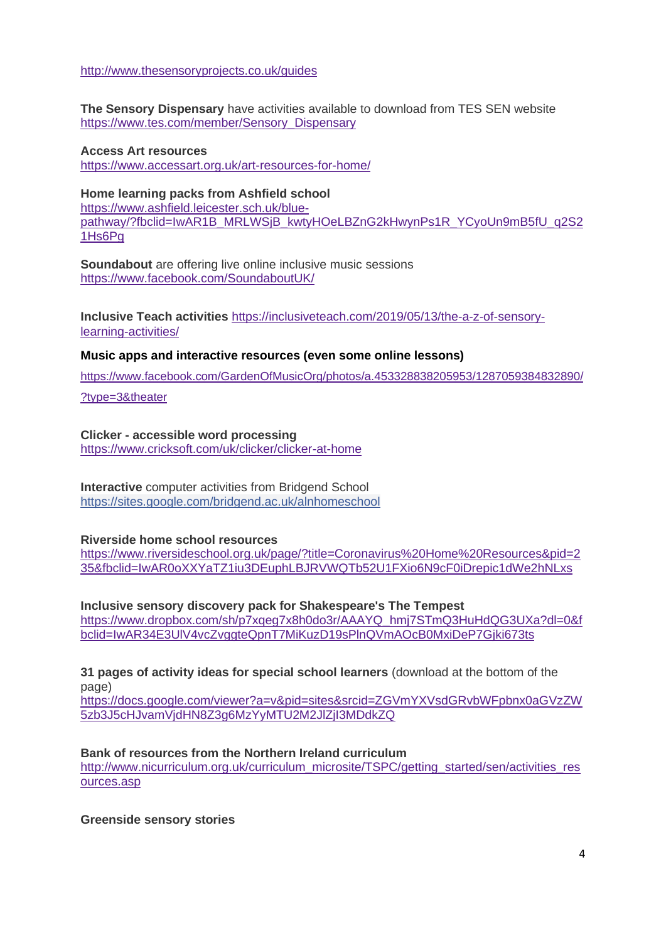<http://www.thesensoryprojects.co.uk/guides>

**The Sensory Dispensary** have activities available to download from TES SEN website [https://www.tes.com/member/Sensory\\_Dispensary](https://www.tes.com/member/Sensory_Dispensary)

## **Access Art resources**

<https://www.accessart.org.uk/art-resources-for-home/>

#### **Home learning packs from Ashfield school** [https://www.ashfield.leicester.sch.uk/blue](https://www.ashfield.leicester.sch.uk/blue-pathway/?fbclid=IwAR1B_MRLWSjB_kwtyHOeLBZnG2kHwynPs1R_YCyoUn9mB5fU_q2S21Hs6Pg)[pathway/?fbclid=IwAR1B\\_MRLWSjB\\_kwtyHOeLBZnG2kHwynPs1R\\_YCyoUn9mB5fU\\_q2S2](https://www.ashfield.leicester.sch.uk/blue-pathway/?fbclid=IwAR1B_MRLWSjB_kwtyHOeLBZnG2kHwynPs1R_YCyoUn9mB5fU_q2S21Hs6Pg) [1Hs6Pg](https://www.ashfield.leicester.sch.uk/blue-pathway/?fbclid=IwAR1B_MRLWSjB_kwtyHOeLBZnG2kHwynPs1R_YCyoUn9mB5fU_q2S21Hs6Pg)

**Soundabout** are offering live online inclusive music sessions <https://www.facebook.com/SoundaboutUK/>

**Inclusive Teach activities** [https://inclusiveteach.com/2019/05/13/the-a-z-of-sensory](https://inclusiveteach.com/2019/05/13/the-a-z-of-sensory-learning-activities/)[learning-activities/](https://inclusiveteach.com/2019/05/13/the-a-z-of-sensory-learning-activities/)

#### **Music apps and interactive resources (even some online lessons)**

[https://www.facebook.com/GardenOfMusicOrg/photos/a.453328838205953/1287059384832890/](https://www.facebook.com/GardenOfMusicOrg/photos/a.453328838205953/1287059384832890/?type=3&theater)

[?type=3&theater](https://www.facebook.com/GardenOfMusicOrg/photos/a.453328838205953/1287059384832890/?type=3&theater)

#### **Clicker - accessible word processing** <https://www.cricksoft.com/uk/clicker/clicker-at-home>

**Interactive** computer activities from Bridgend School [https://sites.google.com/bridgend.ac.uk/alnhomeschool](https://sites.google.com/bridgend.ac.uk/alnhomeschool?fbclid=IwAR25OKF7Pxq32RhiQDfkfaX-UkVeXT0ldhERAYs5M6lVUPJzcve0w9esZcM)

#### **Riverside home school resources**

[https://www.riversideschool.org.uk/page/?title=Coronavirus%20Home%20Resources&pid=2](https://www.riversideschool.org.uk/page/?title=Coronavirus%20Home%20Resources&pid=235&fbclid=IwAR0oXXYaTZ1iu3DEuphLBJRVWQTb52U1FXio6N9cF0iDrepic1dWe2hNLxs) [35&fbclid=IwAR0oXXYaTZ1iu3DEuphLBJRVWQTb52U1FXio6N9cF0iDrepic1dWe2hNLxs](https://www.riversideschool.org.uk/page/?title=Coronavirus%20Home%20Resources&pid=235&fbclid=IwAR0oXXYaTZ1iu3DEuphLBJRVWQTb52U1FXio6N9cF0iDrepic1dWe2hNLxs)

**Inclusive sensory discovery pack for Shakespeare's The Tempest** [https://www.dropbox.com/sh/p7xqeg7x8h0do3r/AAAYQ\\_hmj7STmQ3HuHdQG3UXa?dl=0&f](https://www.dropbox.com/sh/p7xqeg7x8h0do3r/AAAYQ_hmj7STmQ3HuHdQG3UXa?dl=0&fbclid=IwAR34E3UlV4vcZvggteQpnT7MiKuzD19sPlnQVmAOcB0MxiDeP7Gjki673ts) [bclid=IwAR34E3UlV4vcZvggteQpnT7MiKuzD19sPlnQVmAOcB0MxiDeP7Gjki673ts](https://www.dropbox.com/sh/p7xqeg7x8h0do3r/AAAYQ_hmj7STmQ3HuHdQG3UXa?dl=0&fbclid=IwAR34E3UlV4vcZvggteQpnT7MiKuzD19sPlnQVmAOcB0MxiDeP7Gjki673ts)

#### **31 pages of activity ideas for special school learners** (download at the bottom of the page)

[https://docs.google.com/viewer?a=v&pid=sites&srcid=ZGVmYXVsdGRvbWFpbnx0aGVzZW](https://docs.google.com/viewer?a=v&pid=sites&srcid=ZGVmYXVsdGRvbWFpbnx0aGVzZW5zb3J5cHJvamVjdHN8Z3g6MzYyMTU2M2JlZjI3MDdkZQ) [5zb3J5cHJvamVjdHN8Z3g6MzYyMTU2M2JlZjI3MDdkZQ](https://docs.google.com/viewer?a=v&pid=sites&srcid=ZGVmYXVsdGRvbWFpbnx0aGVzZW5zb3J5cHJvamVjdHN8Z3g6MzYyMTU2M2JlZjI3MDdkZQ)

#### **Bank of resources from the Northern Ireland curriculum**

[http://www.nicurriculum.org.uk/curriculum\\_microsite/TSPC/getting\\_started/sen/activities\\_res](http://www.nicurriculum.org.uk/curriculum_microsite/TSPC/getting_started/sen/activities_resources.asp) [ources.asp](http://www.nicurriculum.org.uk/curriculum_microsite/TSPC/getting_started/sen/activities_resources.asp)

**Greenside sensory stories**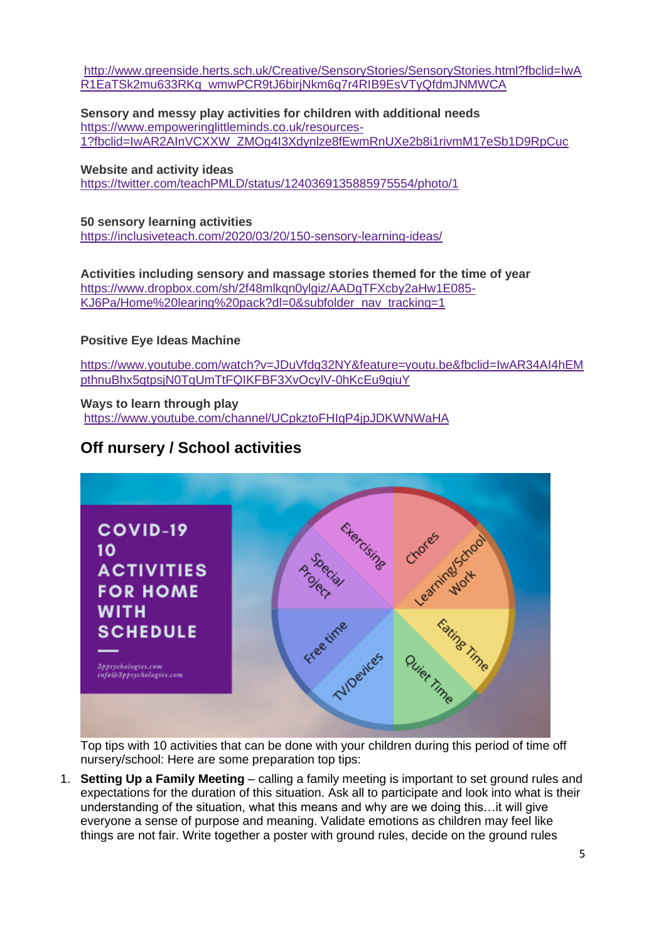[http://www.greenside.herts.sch.uk/Creative/SensoryStories/SensoryStories.html?fbclid=IwA](http://www.greenside.herts.sch.uk/Creative/SensoryStories/SensoryStories.html?fbclid=IwAR1EaTSk2mu633RKq_wmwPCR9tJ6birjNkm6q7r4RIB9EsVTyQfdmJNMWCA) [R1EaTSk2mu633RKq\\_wmwPCR9tJ6birjNkm6q7r4RIB9EsVTyQfdmJNMWCA](http://www.greenside.herts.sch.uk/Creative/SensoryStories/SensoryStories.html?fbclid=IwAR1EaTSk2mu633RKq_wmwPCR9tJ6birjNkm6q7r4RIB9EsVTyQfdmJNMWCA)

**Sensory and messy play activities for children with additional needs** [https://www.empoweringlittleminds.co.uk/resources-](https://www.empoweringlittleminds.co.uk/resources-1?fbclid=IwAR2AInVCXXW_ZMOg4I3Xdynlze8fEwmRnUXe2b8i1rivmM17eSb1D9RpCuc)[1?fbclid=IwAR2AInVCXXW\\_ZMOg4I3Xdynlze8fEwmRnUXe2b8i1rivmM17eSb1D9RpCuc](https://www.empoweringlittleminds.co.uk/resources-1?fbclid=IwAR2AInVCXXW_ZMOg4I3Xdynlze8fEwmRnUXe2b8i1rivmM17eSb1D9RpCuc)

**Website and activity ideas** <https://twitter.com/teachPMLD/status/1240369135885975554/photo/1>

#### **50 sensory learning activities**

<https://inclusiveteach.com/2020/03/20/150-sensory-learning-ideas/>

**Activities including sensory and massage stories themed for the time of year** [https://www.dropbox.com/sh/2f48mlkqn0ylgiz/AADgTFXcby2aHw1E085-](https://www.dropbox.com/sh/2f48mlkqn0ylgiz/AADgTFXcby2aHw1E085-KJ6Pa/Home%20learing%20pack?dl=0&subfolder_nav_tracking=1) [KJ6Pa/Home%20learing%20pack?dl=0&subfolder\\_nav\\_tracking=1](https://www.dropbox.com/sh/2f48mlkqn0ylgiz/AADgTFXcby2aHw1E085-KJ6Pa/Home%20learing%20pack?dl=0&subfolder_nav_tracking=1)

#### **Positive Eye Ideas Machine**

[https://www.youtube.com/watch?v=JDuVfdg32NY&feature=youtu.be&fbclid=IwAR34AI4hEM](https://www.youtube.com/watch?v=JDuVfdg32NY&feature=youtu.be&fbclid=IwAR34AI4hEMpthnuBhx5qtpsjN0TqUmTtFQIKFBF3XvOcylV-0hKcEu9qiuY) [pthnuBhx5qtpsjN0TqUmTtFQIKFBF3XvOcylV-0hKcEu9qiuY](https://www.youtube.com/watch?v=JDuVfdg32NY&feature=youtu.be&fbclid=IwAR34AI4hEMpthnuBhx5qtpsjN0TqUmTtFQIKFBF3XvOcylV-0hKcEu9qiuY)

#### **Ways to learn through play**

<https://www.youtube.com/channel/UCpkztoFHIgP4jpJDKWNWaHA>

# **Off nursery / School activities**



Top tips with 10 activities that can be done with your children during this period of time off nursery/school: Here are some preparation top tips:

1. **Setting Up a Family Meeting** – calling a family meeting is important to set ground rules and expectations for the duration of this situation. Ask all to participate and look into what is their understanding of the situation, what this means and why are we doing this…it will give everyone a sense of purpose and meaning. Validate emotions as children may feel like things are not fair. Write together a poster with ground rules, decide on the ground rules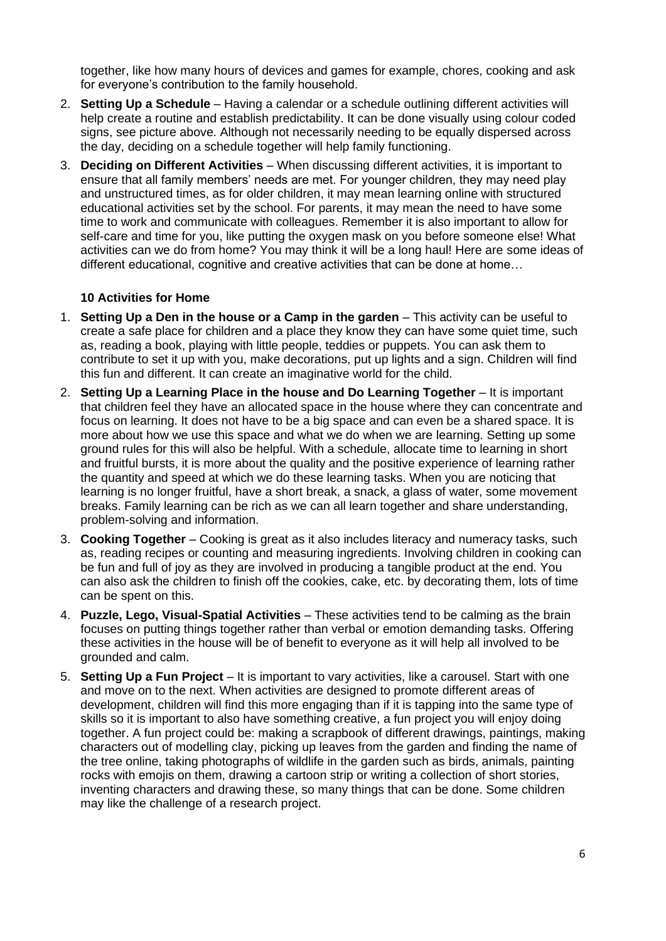together, like how many hours of devices and games for example, chores, cooking and ask for everyone's contribution to the family household.

- 2. **Setting Up a Schedule** Having a calendar or a schedule outlining different activities will help create a routine and establish predictability. It can be done visually using colour coded signs, see picture above. Although not necessarily needing to be equally dispersed across the day, deciding on a schedule together will help family functioning.
- 3. **Deciding on Different Activities** When discussing different activities, it is important to ensure that all family members' needs are met. For younger children, they may need play and unstructured times, as for older children, it may mean learning online with structured educational activities set by the school. For parents, it may mean the need to have some time to work and communicate with colleagues. Remember it is also important to allow for self-care and time for you, like putting the oxygen mask on you before someone else! What activities can we do from home? You may think it will be a long haul! Here are some ideas of different educational, cognitive and creative activities that can be done at home…

#### **10 Activities for Home**

- 1. **Setting Up a Den in the house or a Camp in the garden** This activity can be useful to create a safe place for children and a place they know they can have some quiet time, such as, reading a book, playing with little people, teddies or puppets. You can ask them to contribute to set it up with you, make decorations, put up lights and a sign. Children will find this fun and different. It can create an imaginative world for the child.
- 2. **Setting Up a Learning Place in the house and Do Learning Together** It is important that children feel they have an allocated space in the house where they can concentrate and focus on learning. It does not have to be a big space and can even be a shared space. It is more about how we use this space and what we do when we are learning. Setting up some ground rules for this will also be helpful. With a schedule, allocate time to learning in short and fruitful bursts, it is more about the quality and the positive experience of learning rather the quantity and speed at which we do these learning tasks. When you are noticing that learning is no longer fruitful, have a short break, a snack, a glass of water, some movement breaks. Family learning can be rich as we can all learn together and share understanding, problem-solving and information.
- 3. **Cooking Together** Cooking is great as it also includes literacy and numeracy tasks, such as, reading recipes or counting and measuring ingredients. Involving children in cooking can be fun and full of joy as they are involved in producing a tangible product at the end. You can also ask the children to finish off the cookies, cake, etc. by decorating them, lots of time can be spent on this.
- 4. **Puzzle, Lego, Visual-Spatial Activities** These activities tend to be calming as the brain focuses on putting things together rather than verbal or emotion demanding tasks. Offering these activities in the house will be of benefit to everyone as it will help all involved to be grounded and calm.
- 5. **Setting Up a Fun Project** It is important to vary activities, like a carousel. Start with one and move on to the next. When activities are designed to promote different areas of development, children will find this more engaging than if it is tapping into the same type of skills so it is important to also have something creative, a fun project you will enjoy doing together. A fun project could be: making a scrapbook of different drawings, paintings, making characters out of modelling clay, picking up leaves from the garden and finding the name of the tree online, taking photographs of wildlife in the garden such as birds, animals, painting rocks with emojis on them, drawing a cartoon strip or writing a collection of short stories, inventing characters and drawing these, so many things that can be done. Some children may like the challenge of a research project.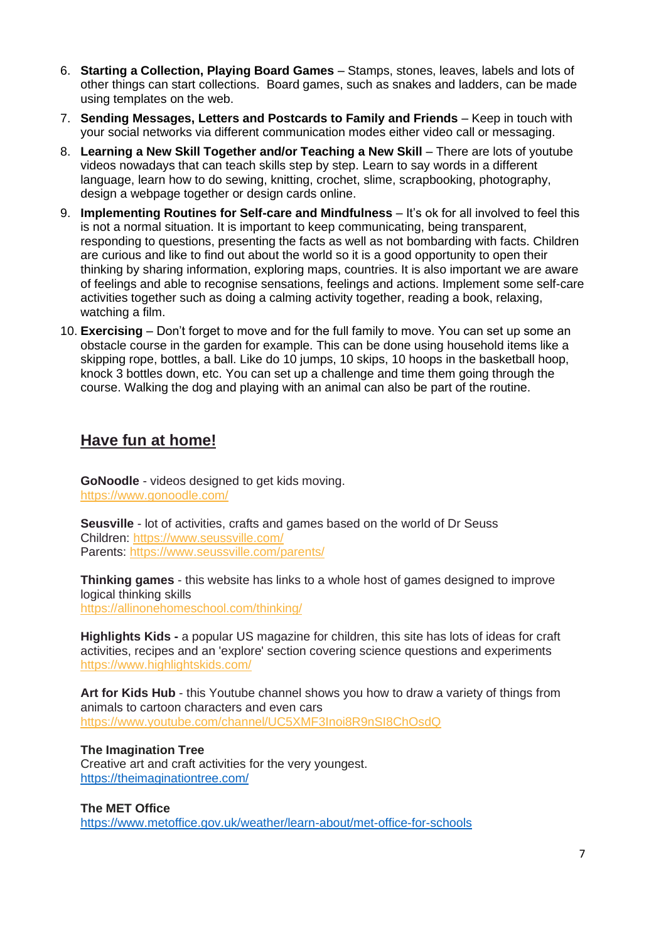- 6. **Starting a Collection, Playing Board Games** Stamps, stones, leaves, labels and lots of other things can start collections. Board games, such as snakes and ladders, can be made using templates on the web.
- 7. **Sending Messages, Letters and Postcards to Family and Friends**  Keep in touch with your social networks via different communication modes either video call or messaging.
- 8. **Learning a New Skill Together and/or Teaching a New Skill** There are lots of youtube videos nowadays that can teach skills step by step. Learn to say words in a different language, learn how to do sewing, knitting, crochet, slime, scrapbooking, photography, design a webpage together or design cards online.
- 9. **Implementing Routines for Self-care and Mindfulness** It's ok for all involved to feel this is not a normal situation. It is important to keep communicating, being transparent, responding to questions, presenting the facts as well as not bombarding with facts. Children are curious and like to find out about the world so it is a good opportunity to open their thinking by sharing information, exploring maps, countries. It is also important we are aware of feelings and able to recognise sensations, feelings and actions. Implement some self-care activities together such as doing a calming activity together, reading a book, relaxing, watching a film.
- 10. **Exercising** Don't forget to move and for the full family to move. You can set up some an obstacle course in the garden for example. This can be done using household items like a skipping rope, bottles, a ball. Like do 10 jumps, 10 skips, 10 hoops in the basketball hoop, knock 3 bottles down, etc. You can set up a challenge and time them going through the course. Walking the dog and playing with an animal can also be part of the routine.

## **Have fun at home!**

**GoNoodle** - videos designed to get kids moving. [https://www.gonoodle.com/](https://eur05.safelinks.protection.outlook.com/?url=https%3A%2F%2Fwww.gonoodle.com%2F&data=02%7C01%7C%7Cfd33b729140c49130a3e08d7cbd0fa8a%7C84df9e7fe9f640afb435aaaaaaaaaaaa%7C1%7C0%7C637201970719056397&sdata=%2BSBR56IS21JT6yZ9nSJW%2BNThZ3cLgpGZ7oQGft9uQvM%3D&reserved=0)

**Seusville** - lot of activities, crafts and games based on the world of Dr Seuss Children: [https://www.seussville.com/](https://eur05.safelinks.protection.outlook.com/?url=https%3A%2F%2Fwww.seussville.com%2F&data=02%7C01%7C%7Cfd33b729140c49130a3e08d7cbd0fa8a%7C84df9e7fe9f640afb435aaaaaaaaaaaa%7C1%7C0%7C637201970719056397&sdata=TeCY7giI6AMt%2FW%2BeqC41PAkEfKjN0gKc6k%2FgL6hhCa4%3D&reserved=0) Parents: [https://www.seussville.com/parents/](https://eur05.safelinks.protection.outlook.com/?url=https%3A%2F%2Fwww.seussville.com%2Fparents%2F&data=02%7C01%7C%7Cfd33b729140c49130a3e08d7cbd0fa8a%7C84df9e7fe9f640afb435aaaaaaaaaaaa%7C1%7C0%7C637201970719061388&sdata=sctZn3WFu%2BHKqLfmc0v1x5lPbR90GQFtCBPSveMo%2FPs%3D&reserved=0)

**Thinking games** - this website has links to a whole host of games designed to improve logical thinking skills [https://allinonehomeschool.com/thinking/](https://eur05.safelinks.protection.outlook.com/?url=https%3A%2F%2Fallinonehomeschool.com%2Fthinking%2F&data=02%7C01%7C%7Cfd33b729140c49130a3e08d7cbd0fa8a%7C84df9e7fe9f640afb435aaaaaaaaaaaa%7C1%7C0%7C637201970719066380&sdata=Gd%2FtK18MtIIHwChPwGn9iRv62sPWRn8Oof8BairMtow%3D&reserved=0)

**Highlights Kids -** a popular US magazine for children, this site has lots of ideas for craft activities, recipes and an 'explore' section covering science questions and experiments [https://www.highlightskids.com/](https://eur05.safelinks.protection.outlook.com/?url=https%3A%2F%2Fwww.highlightskids.com%2F&data=02%7C01%7C%7Cfd33b729140c49130a3e08d7cbd0fa8a%7C84df9e7fe9f640afb435aaaaaaaaaaaa%7C1%7C0%7C637201970719071370&sdata=v9YJzJli6P61egxQpmitLG0hV5n%2FheCgPu4aXP69M1M%3D&reserved=0)

**Art for Kids Hub** - this Youtube channel shows you how to draw a variety of things from animals to cartoon characters and even cars [https://www.youtube.com/channel/UC5XMF3Inoi8R9nSI8ChOsdQ](https://eur05.safelinks.protection.outlook.com/?url=https%3A%2F%2Fwww.youtube.com%2Fchannel%2FUC5XMF3Inoi8R9nSI8ChOsdQ&data=02%7C01%7C%7Cfd33b729140c49130a3e08d7cbd0fa8a%7C84df9e7fe9f640afb435aaaaaaaaaaaa%7C1%7C0%7C637201970719076362&sdata=hQgrhdI0%2BDRY%2FrMQvXRtpH%2FaRv%2F9jZG8%2BQDSU7Mqfqw%3D&reserved=0)

**The Imagination Tree** Creative art and craft activities for the very youngest. <https://theimaginationtree.com/>

**The MET Office** <https://www.metoffice.gov.uk/weather/learn-about/met-office-for-schools>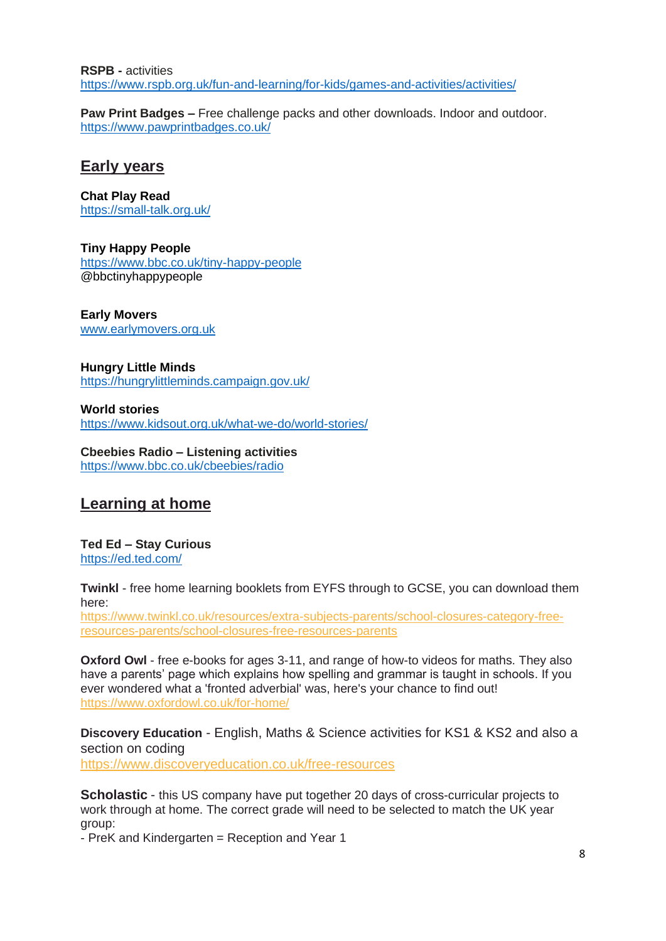**RSPB -** activities <https://www.rspb.org.uk/fun-and-learning/for-kids/games-and-activities/activities/>

**Paw Print Badges –** Free challenge packs and other downloads. Indoor and outdoor. <https://www.pawprintbadges.co.uk/>

## **Early years**

**Chat Play Read**  <https://small-talk.org.uk/>

**Tiny Happy People** <https://www.bbc.co.uk/tiny-happy-people> @bbctinyhappypeople

**Early Movers** [www.earlymovers.org.uk](http://www.earlymovers.org.uk/)

**Hungry Little Minds** <https://hungrylittleminds.campaign.gov.uk/>

**World stories** <https://www.kidsout.org.uk/what-we-do/world-stories/>

**Cbeebies Radio – Listening activities** <https://www.bbc.co.uk/cbeebies/radio>

# **Learning at home**

**Ted Ed – Stay Curious** <https://ed.ted.com/>

**Twinkl** - free home learning booklets from EYFS through to GCSE, you can download them here:

[https://www.twinkl.co.uk/resources/extra-subjects-parents/school-closures-category-free](https://eur05.safelinks.protection.outlook.com/?url=https%3A%2F%2Fwww.twinkl.co.uk%2Fresources%2Fextra-subjects-parents%2Fschool-closures-category-free-resources-parents%2Fschool-closures-free-resources-parents&data=02%7C01%7C%7Cfd33b729140c49130a3e08d7cbd0fa8a%7C84df9e7fe9f640afb435aaaaaaaaaaaa%7C1%7C0%7C637201970718946596&sdata=nljECM0HbBr4U8PIdOqrR6n7wJ5wGMyKjnkP6fogc6k%3D&reserved=0)[resources-parents/school-closures-free-resources-parents](https://eur05.safelinks.protection.outlook.com/?url=https%3A%2F%2Fwww.twinkl.co.uk%2Fresources%2Fextra-subjects-parents%2Fschool-closures-category-free-resources-parents%2Fschool-closures-free-resources-parents&data=02%7C01%7C%7Cfd33b729140c49130a3e08d7cbd0fa8a%7C84df9e7fe9f640afb435aaaaaaaaaaaa%7C1%7C0%7C637201970718946596&sdata=nljECM0HbBr4U8PIdOqrR6n7wJ5wGMyKjnkP6fogc6k%3D&reserved=0)

**Oxford Owl** - free e-books for ages 3-11, and range of how-to videos for maths. They also have a parents' page which explains how spelling and grammar is taught in schools. If you ever wondered what a 'fronted adverbial' was, here's your chance to find out! [https://www.oxfordowl.co.uk/for-home/](https://eur05.safelinks.protection.outlook.com/?url=https%3A%2F%2Fwww.oxfordowl.co.uk%2Ffor-home%2F&data=02%7C01%7C%7Cfd33b729140c49130a3e08d7cbd0fa8a%7C84df9e7fe9f640afb435aaaaaaaaaaaa%7C1%7C0%7C637201970718951589&sdata=tBCf7v0dJPCzj8I94bxjPrqwx%2BNKfO699M%2F3tpUhjwg%3D&reserved=0)

**Discovery Education** - English, Maths & Science activities for KS1 & KS2 and also a section on coding [https://www.discoveryeducation.co.uk/free-resources](https://eur05.safelinks.protection.outlook.com/?url=https%3A%2F%2Fwww.discoveryeducation.co.uk%2Ffree-resources&data=02%7C01%7C%7Cfd33b729140c49130a3e08d7cbd0fa8a%7C84df9e7fe9f640afb435aaaaaaaaaaaa%7C1%7C0%7C637201970718956585&sdata=JXBEBglyjwBWWqamyeSmFTueaakjWs2YqQXXtqZIwKU%3D&reserved=0)

**Scholastic** - this US company have put together 20 days of cross-curricular projects to work through at home. The correct grade will need to be selected to match the UK year group:

- PreK and Kindergarten = Reception and Year 1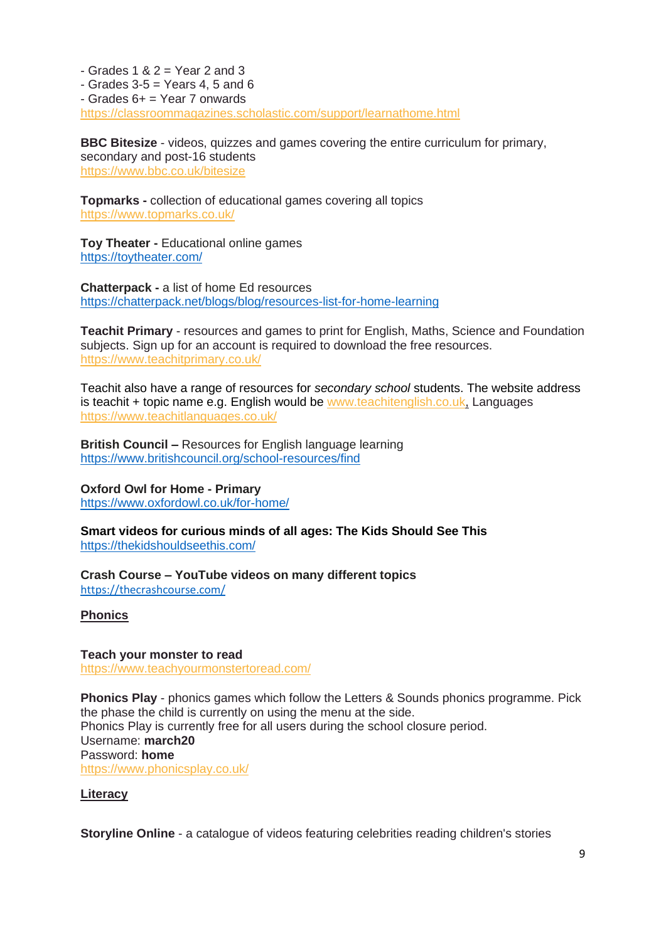$-$  Grades 1 & 2 = Year 2 and 3  $-$  Grades 3-5  $=$  Years 4, 5 and 6 - Grades 6+ = Year 7 onwards [https://classroommagazines.scholastic.com/support/learnathome.html](https://eur05.safelinks.protection.outlook.com/?url=https%3A%2F%2Fclassroommagazines.scholastic.com%2Fsupport%2Flearnathome.html&data=02%7C01%7C%7Cfd33b729140c49130a3e08d7cbd0fa8a%7C84df9e7fe9f640afb435aaaaaaaaaaaa%7C1%7C0%7C637201970718961569&sdata=1e%2B2rMCgBhiFJ9Inb4t1b%2BhXYOfNhkzasu%2FKQlCWgWg%3D&reserved=0)

**BBC Bitesize** - videos, quizzes and games covering the entire curriculum for primary, secondary and post-16 students [https://www.bbc.co.uk/bitesize](https://eur05.safelinks.protection.outlook.com/?url=https%3A%2F%2Fwww.bbc.co.uk%2Fbitesize&data=02%7C01%7C%7Cfd33b729140c49130a3e08d7cbd0fa8a%7C84df9e7fe9f640afb435aaaaaaaaaaaa%7C1%7C0%7C637201970718966562&sdata=SH7nWbyjyN%2B6iR97hrU4VlprF4WO%2F43LZcvaJF8Pr9E%3D&reserved=0)

**Topmarks -** collection of educational games covering all topics [https://www.topmarks.co.uk/](https://eur05.safelinks.protection.outlook.com/?url=https%3A%2F%2Fwww.topmarks.co.uk%2F&data=02%7C01%7C%7Cfd33b729140c49130a3e08d7cbd0fa8a%7C84df9e7fe9f640afb435aaaaaaaaaaaa%7C1%7C0%7C637201970718971551&sdata=ZwN1aOsXVHAmeBpVdDKl7Up5AT9g6CljimC7cyg3G8w%3D&reserved=0)

**Toy Theater -** Educational online games <https://toytheater.com/>

**Chatterpack -** a list of home Ed resources <https://chatterpack.net/blogs/blog/resources-list-for-home-learning>

**Teachit Primary** - resources and games to print for English, Maths, Science and Foundation subjects. Sign up for an account is required to download the free resources. [https://www.teachitprimary.co.uk/](https://eur05.safelinks.protection.outlook.com/?url=https%3A%2F%2Fwww.teachitprimary.co.uk%2F&data=02%7C01%7C%7Cfd33b729140c49130a3e08d7cbd0fa8a%7C84df9e7fe9f640afb435aaaaaaaaaaaa%7C1%7C0%7C637201970718976550&sdata=T%2Ffy2Cf4iCT3vIaJy7qdgeIArip5EKD3joHfAknaFW4%3D&reserved=0)

Teachit also have a range of resources for *secondary school* students. The website address is teachit + topic name e.g. English would be [www.teachitenglish.co.uk,](https://eur05.safelinks.protection.outlook.com/?url=http%3A%2F%2Fwww.teachitenglish.co.uk%2F&data=02%7C01%7C%7Cfd33b729140c49130a3e08d7cbd0fa8a%7C84df9e7fe9f640afb435aaaaaaaaaaaa%7C1%7C0%7C637201970718976550&sdata=%2Bp8f4taUme7zDb%2FLgNG0uJgMtHWq%2Br0Gi9VK8STiBD0%3D&reserved=0) Languages [https://www.teachitlanguages.co.uk/](https://eur05.safelinks.protection.outlook.com/?url=https%3A%2F%2Fwww.teachitlanguages.co.uk%2F&data=02%7C01%7C%7Cfd33b729140c49130a3e08d7cbd0fa8a%7C84df9e7fe9f640afb435aaaaaaaaaaaa%7C1%7C0%7C637201970718981534&sdata=0Ybz65c6JXyrVlF4S1DV897nm%2F8emaONWFRS1MpWc2I%3D&reserved=0)

**British Council –** Resources for English language learning <https://www.britishcouncil.org/school-resources/find>

**Oxford Owl for Home - Primary** <https://www.oxfordowl.co.uk/for-home/>

**Smart videos for curious minds of all ages: The Kids Should See This** <https://thekidshouldseethis.com/>

**Crash Course – YouTube videos on many different topics** <https://thecrashcourse.com/>

**Phonics**

**Teach your monster to read** [https://www.teachyourmonstertoread.com/](https://eur05.safelinks.protection.outlook.com/?url=https%3A%2F%2Fwww.teachyourmonstertoread.com%2F&data=02%7C01%7C%7Cfd33b729140c49130a3e08d7cbd0fa8a%7C84df9e7fe9f640afb435aaaaaaaaaaaa%7C1%7C0%7C637201970718986528&sdata=sSxkiLWsU7FoPSkAjHpcbT3510Ov6m3sCEe9WAwLc7M%3D&reserved=0)

**Phonics Play** - phonics games which follow the Letters & Sounds phonics programme. Pick the phase the child is currently on using the menu at the side. Phonics Play is currently free for all users during the school closure period. Username: **march20** Password: **home** [https://www.phonicsplay.co.uk/](https://eur05.safelinks.protection.outlook.com/?url=https%3A%2F%2Fwww.phonicsplay.co.uk%2FChildrensMenu.htm&data=02%7C01%7C%7Cfd33b729140c49130a3e08d7cbd0fa8a%7C84df9e7fe9f640afb435aaaaaaaaaaaa%7C1%7C0%7C637201970718991514&sdata=rqAdkG9MgtXOdB1giBQnPoUr2C476IWUxuQmc5nLI30%3D&reserved=0)

#### **Literacy**

**Storyline Online** - a catalogue of videos featuring celebrities reading children's stories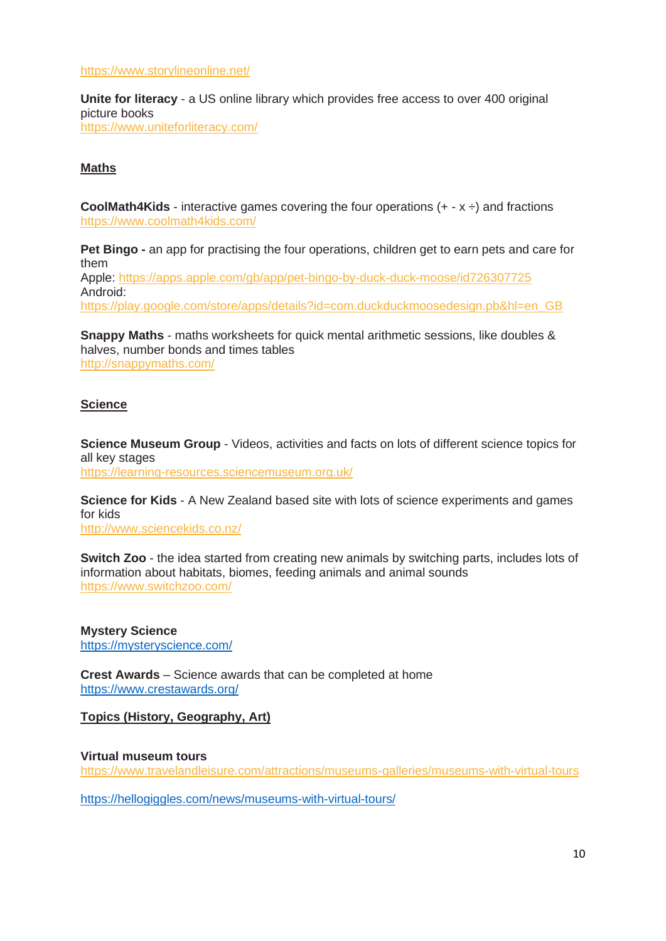[https://www.storylineonline.net/](https://eur05.safelinks.protection.outlook.com/?url=https%3A%2F%2Fwww.storylineonline.net%2F&data=02%7C01%7C%7Cfd33b729140c49130a3e08d7cbd0fa8a%7C84df9e7fe9f640afb435aaaaaaaaaaaa%7C1%7C0%7C637201970718996507&sdata=aoc9kkaYRcgYqHjlA9QaF7Psv5nl3QdMNIATQU%2B%2FWP4%3D&reserved=0)

**Unite for literacy** - a US online library which provides free access to over 400 original picture books [https://www.uniteforliteracy.com/](https://eur05.safelinks.protection.outlook.com/?url=https%3A%2F%2Fwww.uniteforliteracy.com%2F&data=02%7C01%7C%7Cfd33b729140c49130a3e08d7cbd0fa8a%7C84df9e7fe9f640afb435aaaaaaaaaaaa%7C1%7C0%7C637201970718996507&sdata=kfV%2FgTL%2Bu3OfZDUfOsaAzz6WGavGtNDePrLRAuKagks%3D&reserved=0)

#### **Maths**

**CoolMath4Kids** - interactive games covering the four operations  $(+ - x \div)$  and fractions [https://www.coolmath4kids.com/](https://eur05.safelinks.protection.outlook.com/?url=https%3A%2F%2Fwww.coolmath4kids.com%2F&data=02%7C01%7C%7Cfd33b729140c49130a3e08d7cbd0fa8a%7C84df9e7fe9f640afb435aaaaaaaaaaaa%7C1%7C0%7C637201970719001501&sdata=tT8MboWBqtrjiQCQIASi8MvyT79f6oRmetC90sr9Uis%3D&reserved=0)

**Pet Bingo -** an app for practising the four operations, children get to earn pets and care for them

Apple: [https://apps.apple.com/gb/app/pet-bingo-by-duck-duck-moose/id726307725](https://eur05.safelinks.protection.outlook.com/?url=https%3A%2F%2Fapps.apple.com%2Fgb%2Fapp%2Fpet-bingo-by-duck-duck-moose%2Fid726307725&data=02%7C01%7C%7Cfd33b729140c49130a3e08d7cbd0fa8a%7C84df9e7fe9f640afb435aaaaaaaaaaaa%7C1%7C0%7C637201970719006489&sdata=JLKT2%2BljejiTxHiVd8FNTxA%2FBkl2OP23nQ6VdLyvtBE%3D&reserved=0) Android: [https://play.google.com/store/apps/details?id=com.duckduckmoosedesign.pb&hl=en\\_GB](https://eur05.safelinks.protection.outlook.com/?url=https%3A%2F%2Fplay.google.com%2Fstore%2Fapps%2Fdetails%3Fid%3Dcom.duckduckmoosedesign.pb%26hl%3Den_GB&data=02%7C01%7C%7Cfd33b729140c49130a3e08d7cbd0fa8a%7C84df9e7fe9f640afb435aaaaaaaaaaaa%7C1%7C0%7C637201970719011481&sdata=6TEOTNAzLekI2cOdJr26DwJN%2FyEwIHbrf2kR0THBUgc%3D&reserved=0)

**Snappy Maths** - maths worksheets for quick mental arithmetic sessions, like doubles & halves, number bonds and times tables [http://snappymaths.com/](https://eur05.safelinks.protection.outlook.com/?url=http%3A%2F%2Fsnappymaths.com%2F&data=02%7C01%7C%7Cfd33b729140c49130a3e08d7cbd0fa8a%7C84df9e7fe9f640afb435aaaaaaaaaaaa%7C1%7C0%7C637201970719016472&sdata=LziJTjnddLBsGbUBTaebiJpM9iLo6C3LKAei8VKXm9Y%3D&reserved=0)

#### **Science**

**Science Museum Group** - Videos, activities and facts on lots of different science topics for all key stages [https://learning-resources.sciencemuseum.org.uk/](https://eur05.safelinks.protection.outlook.com/?url=https%3A%2F%2Flearning-resources.sciencemuseum.org.uk%2F&data=02%7C01%7C%7Cfd33b729140c49130a3e08d7cbd0fa8a%7C84df9e7fe9f640afb435aaaaaaaaaaaa%7C1%7C0%7C637201970719016472&sdata=22NwM1FpOD8eSGzUrI5NDZM2KxZNAoTyuK8Jqd%2FLFbU%3D&reserved=0)

**Science for Kids** - A New Zealand based site with lots of science experiments and games for kids [http://www.sciencekids.co.nz/](https://eur05.safelinks.protection.outlook.com/?url=http%3A%2F%2Fwww.sciencekids.co.nz%2F&data=02%7C01%7C%7Cfd33b729140c49130a3e08d7cbd0fa8a%7C84df9e7fe9f640afb435aaaaaaaaaaaa%7C1%7C0%7C637201970719021467&sdata=jplf6jql7pcMIJyALI1%2FtU8Opoh8Mkxsch%2BSdbARnt0%3D&reserved=0)

**Switch Zoo** - the idea started from creating new animals by switching parts, includes lots of information about habitats, biomes, feeding animals and animal sounds [https://www.switchzoo.com/](https://eur05.safelinks.protection.outlook.com/?url=https%3A%2F%2Fwww.switchzoo.com%2F&data=02%7C01%7C%7Cfd33b729140c49130a3e08d7cbd0fa8a%7C84df9e7fe9f640afb435aaaaaaaaaaaa%7C1%7C0%7C637201970719026452&sdata=Q6bzEprKjFYsRzDJPZf6khayC%2BUZt8qkuQp%2BZ2nKGmg%3D&reserved=0)

**Mystery Science** <https://mysteryscience.com/>

**Crest Awards** – Science awards that can be completed at home <https://www.crestawards.org/>

**Topics (History, Geography, Art)**

#### **Virtual museum tours**

[https://www.travelandleisure.com/attractions/museums-galleries/museums-with-virtual-tours](https://eur05.safelinks.protection.outlook.com/?url=https%3A%2F%2Fwww.travelandleisure.com%2Fattractions%2Fmuseums-galleries%2Fmuseums-with-virtual-tours&data=02%7C01%7C%7Cfd33b729140c49130a3e08d7cbd0fa8a%7C84df9e7fe9f640afb435aaaaaaaaaaaa%7C1%7C0%7C637201970719031442&sdata=SlAaOpfVjLp7HRLKPaXH%2B0bsvgWajbNn7GLDJrewJIM%3D&reserved=0)

<https://hellogiggles.com/news/museums-with-virtual-tours/>